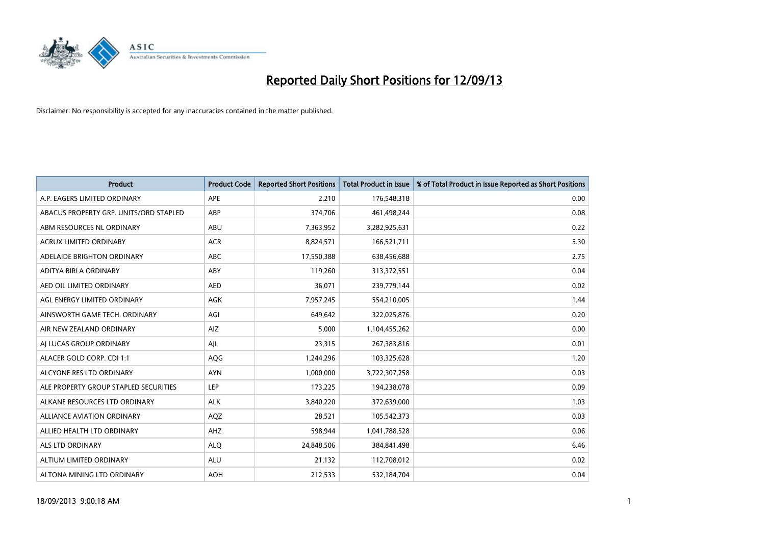

| <b>Product</b>                         | <b>Product Code</b> | <b>Reported Short Positions</b> | <b>Total Product in Issue</b> | % of Total Product in Issue Reported as Short Positions |
|----------------------------------------|---------------------|---------------------------------|-------------------------------|---------------------------------------------------------|
| A.P. EAGERS LIMITED ORDINARY           | APE                 | 2,210                           | 176,548,318                   | 0.00                                                    |
| ABACUS PROPERTY GRP. UNITS/ORD STAPLED | ABP                 | 374,706                         | 461,498,244                   | 0.08                                                    |
| ABM RESOURCES NL ORDINARY              | ABU                 | 7,363,952                       | 3,282,925,631                 | 0.22                                                    |
| ACRUX LIMITED ORDINARY                 | <b>ACR</b>          | 8,824,571                       | 166,521,711                   | 5.30                                                    |
| ADELAIDE BRIGHTON ORDINARY             | <b>ABC</b>          | 17,550,388                      | 638,456,688                   | 2.75                                                    |
| ADITYA BIRLA ORDINARY                  | ABY                 | 119,260                         | 313,372,551                   | 0.04                                                    |
| AED OIL LIMITED ORDINARY               | <b>AED</b>          | 36,071                          | 239,779,144                   | 0.02                                                    |
| AGL ENERGY LIMITED ORDINARY            | AGK                 | 7,957,245                       | 554,210,005                   | 1.44                                                    |
| AINSWORTH GAME TECH. ORDINARY          | AGI                 | 649,642                         | 322,025,876                   | 0.20                                                    |
| AIR NEW ZEALAND ORDINARY               | <b>AIZ</b>          | 5,000                           | 1,104,455,262                 | 0.00                                                    |
| AI LUCAS GROUP ORDINARY                | AJL                 | 23,315                          | 267,383,816                   | 0.01                                                    |
| ALACER GOLD CORP. CDI 1:1              | AQG                 | 1,244,296                       | 103,325,628                   | 1.20                                                    |
| ALCYONE RES LTD ORDINARY               | <b>AYN</b>          | 1,000,000                       | 3,722,307,258                 | 0.03                                                    |
| ALE PROPERTY GROUP STAPLED SECURITIES  | LEP                 | 173,225                         | 194,238,078                   | 0.09                                                    |
| ALKANE RESOURCES LTD ORDINARY          | <b>ALK</b>          | 3,840,220                       | 372,639,000                   | 1.03                                                    |
| ALLIANCE AVIATION ORDINARY             | AQZ                 | 28,521                          | 105,542,373                   | 0.03                                                    |
| ALLIED HEALTH LTD ORDINARY             | AHZ                 | 598,944                         | 1,041,788,528                 | 0.06                                                    |
| <b>ALS LTD ORDINARY</b>                | <b>ALQ</b>          | 24,848,506                      | 384, 841, 498                 | 6.46                                                    |
| ALTIUM LIMITED ORDINARY                | <b>ALU</b>          | 21,132                          | 112,708,012                   | 0.02                                                    |
| ALTONA MINING LTD ORDINARY             | <b>AOH</b>          | 212,533                         | 532,184,704                   | 0.04                                                    |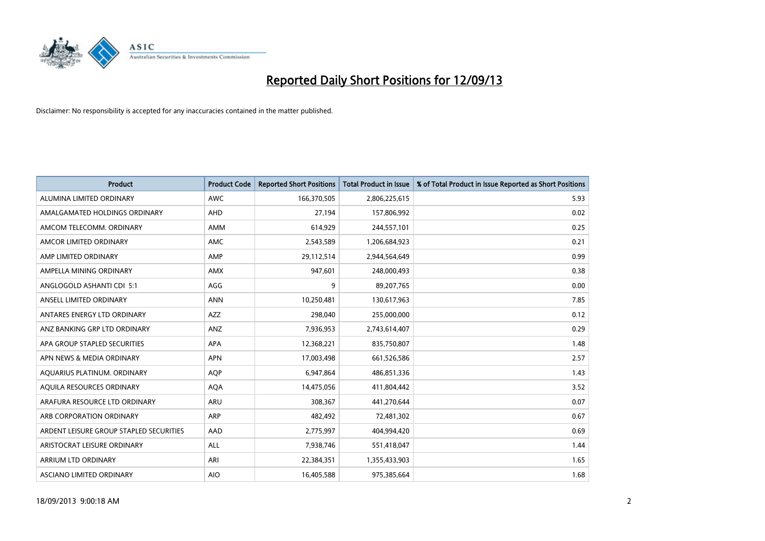

| <b>Product</b>                          | <b>Product Code</b> | <b>Reported Short Positions</b> | <b>Total Product in Issue</b> | % of Total Product in Issue Reported as Short Positions |
|-----------------------------------------|---------------------|---------------------------------|-------------------------------|---------------------------------------------------------|
| ALUMINA LIMITED ORDINARY                | <b>AWC</b>          | 166,370,505                     | 2,806,225,615                 | 5.93                                                    |
| AMALGAMATED HOLDINGS ORDINARY           | AHD                 | 27,194                          | 157,806,992                   | 0.02                                                    |
| AMCOM TELECOMM. ORDINARY                | <b>AMM</b>          | 614,929                         | 244,557,101                   | 0.25                                                    |
| AMCOR LIMITED ORDINARY                  | AMC                 | 2,543,589                       | 1,206,684,923                 | 0.21                                                    |
| AMP LIMITED ORDINARY                    | AMP                 | 29,112,514                      | 2,944,564,649                 | 0.99                                                    |
| AMPELLA MINING ORDINARY                 | <b>AMX</b>          | 947,601                         | 248,000,493                   | 0.38                                                    |
| ANGLOGOLD ASHANTI CDI 5:1               | AGG                 | 9                               | 89,207,765                    | 0.00                                                    |
| ANSELL LIMITED ORDINARY                 | <b>ANN</b>          | 10,250,481                      | 130,617,963                   | 7.85                                                    |
| ANTARES ENERGY LTD ORDINARY             | AZZ                 | 298,040                         | 255,000,000                   | 0.12                                                    |
| ANZ BANKING GRP LTD ORDINARY            | ANZ                 | 7,936,953                       | 2,743,614,407                 | 0.29                                                    |
| APA GROUP STAPLED SECURITIES            | APA                 | 12,368,221                      | 835,750,807                   | 1.48                                                    |
| APN NEWS & MEDIA ORDINARY               | <b>APN</b>          | 17,003,498                      | 661,526,586                   | 2.57                                                    |
| AQUARIUS PLATINUM. ORDINARY             | <b>AQP</b>          | 6,947,864                       | 486,851,336                   | 1.43                                                    |
| AQUILA RESOURCES ORDINARY               | <b>AQA</b>          | 14,475,056                      | 411,804,442                   | 3.52                                                    |
| ARAFURA RESOURCE LTD ORDINARY           | ARU                 | 308,367                         | 441,270,644                   | 0.07                                                    |
| ARB CORPORATION ORDINARY                | ARP                 | 482,492                         | 72,481,302                    | 0.67                                                    |
| ARDENT LEISURE GROUP STAPLED SECURITIES | AAD                 | 2,775,997                       | 404,994,420                   | 0.69                                                    |
| ARISTOCRAT LEISURE ORDINARY             | <b>ALL</b>          | 7,938,746                       | 551,418,047                   | 1.44                                                    |
| ARRIUM LTD ORDINARY                     | ARI                 | 22,384,351                      | 1,355,433,903                 | 1.65                                                    |
| ASCIANO LIMITED ORDINARY                | <b>AIO</b>          | 16,405,588                      | 975,385,664                   | 1.68                                                    |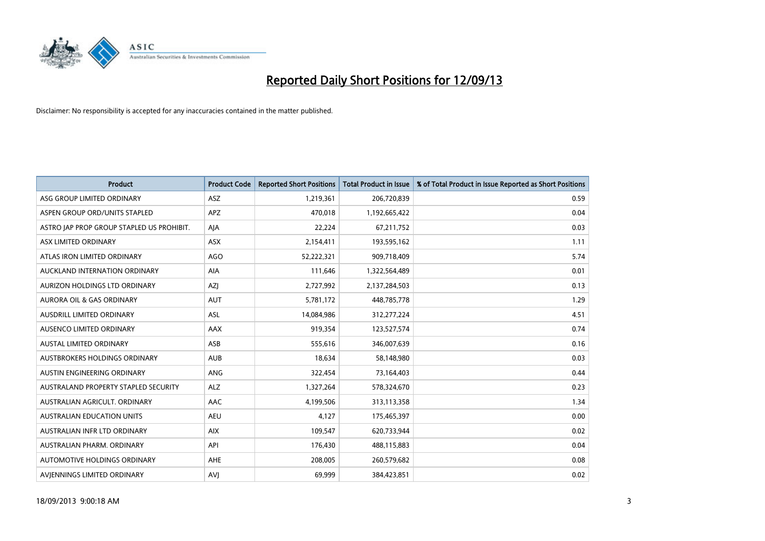

| <b>Product</b>                            | <b>Product Code</b> | <b>Reported Short Positions</b> | <b>Total Product in Issue</b> | % of Total Product in Issue Reported as Short Positions |
|-------------------------------------------|---------------------|---------------------------------|-------------------------------|---------------------------------------------------------|
| ASG GROUP LIMITED ORDINARY                | <b>ASZ</b>          | 1,219,361                       | 206,720,839                   | 0.59                                                    |
| ASPEN GROUP ORD/UNITS STAPLED             | <b>APZ</b>          | 470,018                         | 1,192,665,422                 | 0.04                                                    |
| ASTRO JAP PROP GROUP STAPLED US PROHIBIT. | AJA                 | 22,224                          | 67,211,752                    | 0.03                                                    |
| ASX LIMITED ORDINARY                      | ASX                 | 2,154,411                       | 193,595,162                   | 1.11                                                    |
| ATLAS IRON LIMITED ORDINARY               | <b>AGO</b>          | 52,222,321                      | 909,718,409                   | 5.74                                                    |
| AUCKLAND INTERNATION ORDINARY             | <b>AIA</b>          | 111,646                         | 1,322,564,489                 | 0.01                                                    |
| AURIZON HOLDINGS LTD ORDINARY             | AZJ                 | 2,727,992                       | 2,137,284,503                 | 0.13                                                    |
| AURORA OIL & GAS ORDINARY                 | AUT                 | 5,781,172                       | 448,785,778                   | 1.29                                                    |
| AUSDRILL LIMITED ORDINARY                 | ASL                 | 14,084,986                      | 312,277,224                   | 4.51                                                    |
| AUSENCO LIMITED ORDINARY                  | <b>AAX</b>          | 919,354                         | 123,527,574                   | 0.74                                                    |
| AUSTAL LIMITED ORDINARY                   | ASB                 | 555,616                         | 346,007,639                   | 0.16                                                    |
| <b>AUSTBROKERS HOLDINGS ORDINARY</b>      | <b>AUB</b>          | 18,634                          | 58,148,980                    | 0.03                                                    |
| AUSTIN ENGINEERING ORDINARY               | ANG                 | 322,454                         | 73,164,403                    | 0.44                                                    |
| AUSTRALAND PROPERTY STAPLED SECURITY      | <b>ALZ</b>          | 1,327,264                       | 578,324,670                   | 0.23                                                    |
| AUSTRALIAN AGRICULT, ORDINARY             | <b>AAC</b>          | 4,199,506                       | 313,113,358                   | 1.34                                                    |
| AUSTRALIAN EDUCATION UNITS                | <b>AEU</b>          | 4,127                           | 175,465,397                   | 0.00                                                    |
| AUSTRALIAN INFR LTD ORDINARY              | <b>AIX</b>          | 109,547                         | 620,733,944                   | 0.02                                                    |
| AUSTRALIAN PHARM. ORDINARY                | API                 | 176,430                         | 488,115,883                   | 0.04                                                    |
| AUTOMOTIVE HOLDINGS ORDINARY              | <b>AHE</b>          | 208,005                         | 260,579,682                   | 0.08                                                    |
| AVIENNINGS LIMITED ORDINARY               | <b>AVJ</b>          | 69,999                          | 384,423,851                   | 0.02                                                    |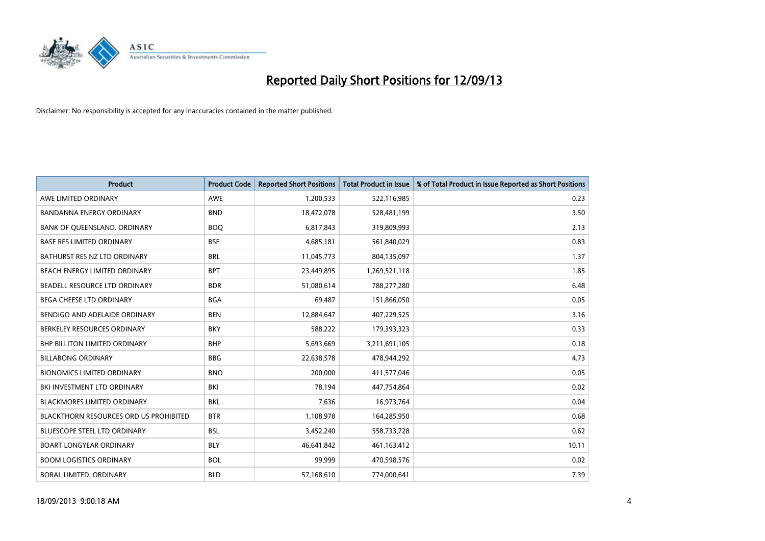

| <b>Product</b>                         | <b>Product Code</b> | <b>Reported Short Positions</b> | <b>Total Product in Issue</b> | % of Total Product in Issue Reported as Short Positions |
|----------------------------------------|---------------------|---------------------------------|-------------------------------|---------------------------------------------------------|
| AWE LIMITED ORDINARY                   | <b>AWE</b>          | 1,200,533                       | 522,116,985                   | 0.23                                                    |
| BANDANNA ENERGY ORDINARY               | <b>BND</b>          | 18,472,078                      | 528,481,199                   | 3.50                                                    |
| BANK OF QUEENSLAND. ORDINARY           | <b>BOQ</b>          | 6,817,843                       | 319,809,993                   | 2.13                                                    |
| <b>BASE RES LIMITED ORDINARY</b>       | <b>BSE</b>          | 4,685,181                       | 561,840,029                   | 0.83                                                    |
| BATHURST RES NZ LTD ORDINARY           | <b>BRL</b>          | 11,045,773                      | 804,135,097                   | 1.37                                                    |
| BEACH ENERGY LIMITED ORDINARY          | <b>BPT</b>          | 23,449,895                      | 1,269,521,118                 | 1.85                                                    |
| BEADELL RESOURCE LTD ORDINARY          | <b>BDR</b>          | 51,080,614                      | 788,277,280                   | 6.48                                                    |
| <b>BEGA CHEESE LTD ORDINARY</b>        | <b>BGA</b>          | 69,487                          | 151,866,050                   | 0.05                                                    |
| BENDIGO AND ADELAIDE ORDINARY          | <b>BEN</b>          | 12,884,647                      | 407,229,525                   | 3.16                                                    |
| BERKELEY RESOURCES ORDINARY            | <b>BKY</b>          | 588,222                         | 179,393,323                   | 0.33                                                    |
| <b>BHP BILLITON LIMITED ORDINARY</b>   | <b>BHP</b>          | 5,693,669                       | 3,211,691,105                 | 0.18                                                    |
| <b>BILLABONG ORDINARY</b>              | <b>BBG</b>          | 22,638,578                      | 478,944,292                   | 4.73                                                    |
| <b>BIONOMICS LIMITED ORDINARY</b>      | <b>BNO</b>          | 200,000                         | 411,577,046                   | 0.05                                                    |
| BKI INVESTMENT LTD ORDINARY            | BKI                 | 78,194                          | 447,754,864                   | 0.02                                                    |
| <b>BLACKMORES LIMITED ORDINARY</b>     | <b>BKL</b>          | 7,636                           | 16,973,764                    | 0.04                                                    |
| BLACKTHORN RESOURCES ORD US PROHIBITED | <b>BTR</b>          | 1,108,978                       | 164,285,950                   | 0.68                                                    |
| <b>BLUESCOPE STEEL LTD ORDINARY</b>    | <b>BSL</b>          | 3,452,240                       | 558,733,728                   | 0.62                                                    |
| <b>BOART LONGYEAR ORDINARY</b>         | <b>BLY</b>          | 46,641,842                      | 461,163,412                   | 10.11                                                   |
| <b>BOOM LOGISTICS ORDINARY</b>         | <b>BOL</b>          | 99.999                          | 470,598,576                   | 0.02                                                    |
| <b>BORAL LIMITED, ORDINARY</b>         | <b>BLD</b>          | 57,168,610                      | 774,000,641                   | 7.39                                                    |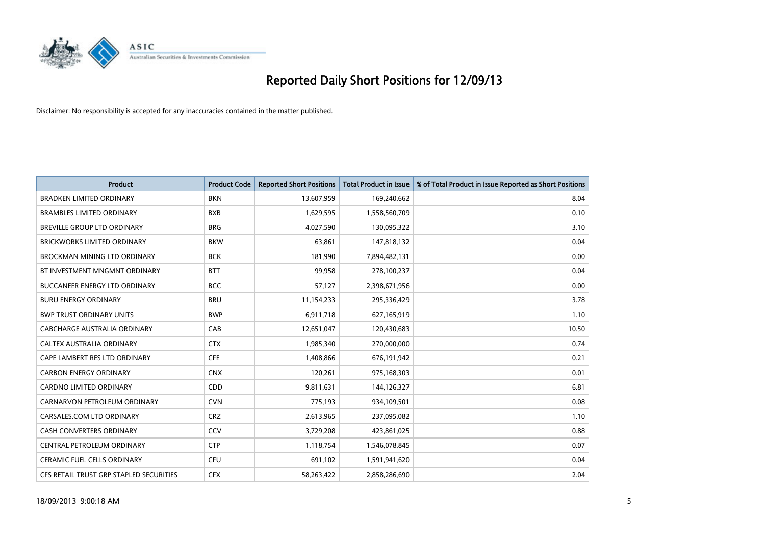

| <b>Product</b>                          | <b>Product Code</b> | <b>Reported Short Positions</b> | <b>Total Product in Issue</b> | % of Total Product in Issue Reported as Short Positions |
|-----------------------------------------|---------------------|---------------------------------|-------------------------------|---------------------------------------------------------|
| <b>BRADKEN LIMITED ORDINARY</b>         | <b>BKN</b>          | 13,607,959                      | 169,240,662                   | 8.04                                                    |
| <b>BRAMBLES LIMITED ORDINARY</b>        | <b>BXB</b>          | 1,629,595                       | 1,558,560,709                 | 0.10                                                    |
| BREVILLE GROUP LTD ORDINARY             | <b>BRG</b>          | 4,027,590                       | 130,095,322                   | 3.10                                                    |
| BRICKWORKS LIMITED ORDINARY             | <b>BKW</b>          | 63,861                          | 147,818,132                   | 0.04                                                    |
| BROCKMAN MINING LTD ORDINARY            | <b>BCK</b>          | 181,990                         | 7,894,482,131                 | 0.00                                                    |
| BT INVESTMENT MNGMNT ORDINARY           | <b>BTT</b>          | 99,958                          | 278,100,237                   | 0.04                                                    |
| <b>BUCCANEER ENERGY LTD ORDINARY</b>    | <b>BCC</b>          | 57,127                          | 2,398,671,956                 | 0.00                                                    |
| <b>BURU ENERGY ORDINARY</b>             | <b>BRU</b>          | 11,154,233                      | 295,336,429                   | 3.78                                                    |
| <b>BWP TRUST ORDINARY UNITS</b>         | <b>BWP</b>          | 6,911,718                       | 627,165,919                   | 1.10                                                    |
| CABCHARGE AUSTRALIA ORDINARY            | CAB                 | 12,651,047                      | 120,430,683                   | 10.50                                                   |
| CALTEX AUSTRALIA ORDINARY               | <b>CTX</b>          | 1,985,340                       | 270,000,000                   | 0.74                                                    |
| CAPE LAMBERT RES LTD ORDINARY           | <b>CFE</b>          | 1,408,866                       | 676,191,942                   | 0.21                                                    |
| <b>CARBON ENERGY ORDINARY</b>           | <b>CNX</b>          | 120,261                         | 975,168,303                   | 0.01                                                    |
| <b>CARDNO LIMITED ORDINARY</b>          | CDD                 | 9,811,631                       | 144,126,327                   | 6.81                                                    |
| CARNARVON PETROLEUM ORDINARY            | <b>CVN</b>          | 775,193                         | 934,109,501                   | 0.08                                                    |
| CARSALES.COM LTD ORDINARY               | <b>CRZ</b>          | 2,613,965                       | 237,095,082                   | 1.10                                                    |
| CASH CONVERTERS ORDINARY                | <b>CCV</b>          | 3,729,208                       | 423,861,025                   | 0.88                                                    |
| CENTRAL PETROLEUM ORDINARY              | <b>CTP</b>          | 1,118,754                       | 1,546,078,845                 | 0.07                                                    |
| <b>CERAMIC FUEL CELLS ORDINARY</b>      | <b>CFU</b>          | 691,102                         | 1,591,941,620                 | 0.04                                                    |
| CFS RETAIL TRUST GRP STAPLED SECURITIES | <b>CFX</b>          | 58,263,422                      | 2,858,286,690                 | 2.04                                                    |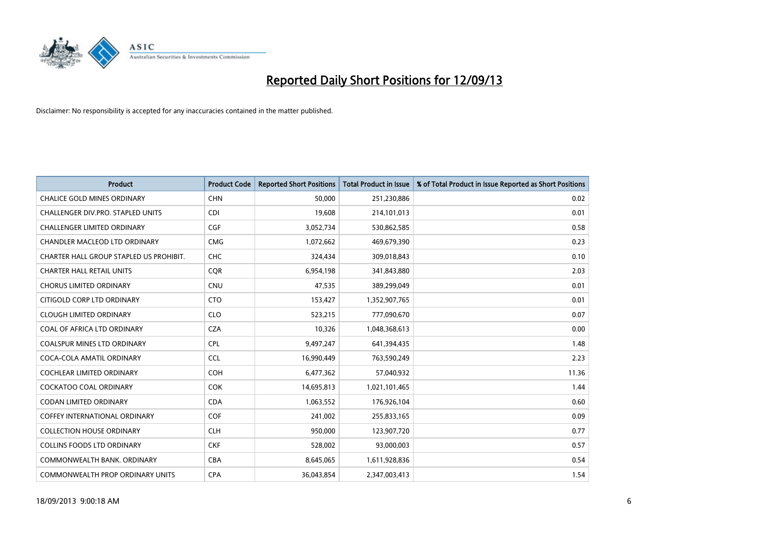

| <b>Product</b>                          | <b>Product Code</b> | <b>Reported Short Positions</b> | <b>Total Product in Issue</b> | % of Total Product in Issue Reported as Short Positions |
|-----------------------------------------|---------------------|---------------------------------|-------------------------------|---------------------------------------------------------|
| <b>CHALICE GOLD MINES ORDINARY</b>      | <b>CHN</b>          | 50,000                          | 251,230,886                   | 0.02                                                    |
| CHALLENGER DIV.PRO. STAPLED UNITS       | <b>CDI</b>          | 19,608                          | 214,101,013                   | 0.01                                                    |
| <b>CHALLENGER LIMITED ORDINARY</b>      | <b>CGF</b>          | 3,052,734                       | 530,862,585                   | 0.58                                                    |
| CHANDLER MACLEOD LTD ORDINARY           | <b>CMG</b>          | 1,072,662                       | 469,679,390                   | 0.23                                                    |
| CHARTER HALL GROUP STAPLED US PROHIBIT. | <b>CHC</b>          | 324,434                         | 309,018,843                   | 0.10                                                    |
| <b>CHARTER HALL RETAIL UNITS</b>        | <b>CQR</b>          | 6,954,198                       | 341,843,880                   | 2.03                                                    |
| <b>CHORUS LIMITED ORDINARY</b>          | <b>CNU</b>          | 47,535                          | 389,299,049                   | 0.01                                                    |
| CITIGOLD CORP LTD ORDINARY              | <b>CTO</b>          | 153,427                         | 1,352,907,765                 | 0.01                                                    |
| <b>CLOUGH LIMITED ORDINARY</b>          | <b>CLO</b>          | 523,215                         | 777,090,670                   | 0.07                                                    |
| COAL OF AFRICA LTD ORDINARY             | <b>CZA</b>          | 10,326                          | 1,048,368,613                 | 0.00                                                    |
| COALSPUR MINES LTD ORDINARY             | <b>CPL</b>          | 9,497,247                       | 641,394,435                   | 1.48                                                    |
| COCA-COLA AMATIL ORDINARY               | <b>CCL</b>          | 16,990,449                      | 763,590,249                   | 2.23                                                    |
| COCHLEAR LIMITED ORDINARY               | <b>COH</b>          | 6,477,362                       | 57,040,932                    | 11.36                                                   |
| <b>COCKATOO COAL ORDINARY</b>           | <b>COK</b>          | 14,695,813                      | 1,021,101,465                 | 1.44                                                    |
| <b>CODAN LIMITED ORDINARY</b>           | <b>CDA</b>          | 1,063,552                       | 176,926,104                   | 0.60                                                    |
| COFFEY INTERNATIONAL ORDINARY           | <b>COF</b>          | 241,002                         | 255,833,165                   | 0.09                                                    |
| <b>COLLECTION HOUSE ORDINARY</b>        | <b>CLH</b>          | 950,000                         | 123,907,720                   | 0.77                                                    |
| <b>COLLINS FOODS LTD ORDINARY</b>       | <b>CKF</b>          | 528,002                         | 93,000,003                    | 0.57                                                    |
| COMMONWEALTH BANK, ORDINARY             | <b>CBA</b>          | 8,645,065                       | 1,611,928,836                 | 0.54                                                    |
| COMMONWEALTH PROP ORDINARY UNITS        | <b>CPA</b>          | 36,043,854                      | 2,347,003,413                 | 1.54                                                    |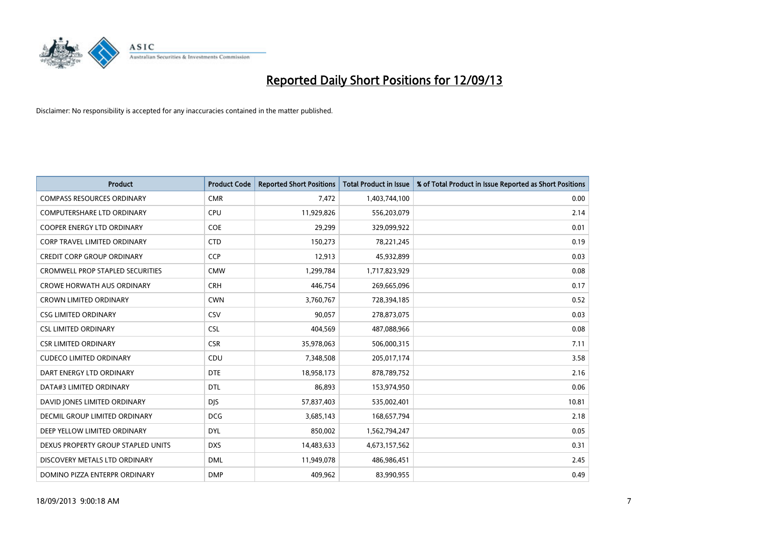

| <b>Product</b>                          | <b>Product Code</b> | <b>Reported Short Positions</b> | <b>Total Product in Issue</b> | % of Total Product in Issue Reported as Short Positions |
|-----------------------------------------|---------------------|---------------------------------|-------------------------------|---------------------------------------------------------|
| <b>COMPASS RESOURCES ORDINARY</b>       | <b>CMR</b>          | 7,472                           | 1,403,744,100                 | 0.00                                                    |
| COMPUTERSHARE LTD ORDINARY              | <b>CPU</b>          | 11,929,826                      | 556,203,079                   | 2.14                                                    |
| <b>COOPER ENERGY LTD ORDINARY</b>       | <b>COE</b>          | 29,299                          | 329,099,922                   | 0.01                                                    |
| CORP TRAVEL LIMITED ORDINARY            | <b>CTD</b>          | 150,273                         | 78,221,245                    | 0.19                                                    |
| <b>CREDIT CORP GROUP ORDINARY</b>       | <b>CCP</b>          | 12,913                          | 45,932,899                    | 0.03                                                    |
| <b>CROMWELL PROP STAPLED SECURITIES</b> | <b>CMW</b>          | 1,299,784                       | 1,717,823,929                 | 0.08                                                    |
| <b>CROWE HORWATH AUS ORDINARY</b>       | <b>CRH</b>          | 446,754                         | 269,665,096                   | 0.17                                                    |
| <b>CROWN LIMITED ORDINARY</b>           | <b>CWN</b>          | 3,760,767                       | 728,394,185                   | 0.52                                                    |
| <b>CSG LIMITED ORDINARY</b>             | CSV                 | 90,057                          | 278,873,075                   | 0.03                                                    |
| <b>CSL LIMITED ORDINARY</b>             | <b>CSL</b>          | 404,569                         | 487,088,966                   | 0.08                                                    |
| <b>CSR LIMITED ORDINARY</b>             | <b>CSR</b>          | 35,978,063                      | 506,000,315                   | 7.11                                                    |
| <b>CUDECO LIMITED ORDINARY</b>          | CDU                 | 7,348,508                       | 205,017,174                   | 3.58                                                    |
| DART ENERGY LTD ORDINARY                | <b>DTE</b>          | 18,958,173                      | 878,789,752                   | 2.16                                                    |
| DATA#3 LIMITED ORDINARY                 | <b>DTL</b>          | 86,893                          | 153,974,950                   | 0.06                                                    |
| DAVID JONES LIMITED ORDINARY            | <b>DJS</b>          | 57,837,403                      | 535,002,401                   | 10.81                                                   |
| <b>DECMIL GROUP LIMITED ORDINARY</b>    | <b>DCG</b>          | 3,685,143                       | 168,657,794                   | 2.18                                                    |
| DEEP YELLOW LIMITED ORDINARY            | <b>DYL</b>          | 850,002                         | 1,562,794,247                 | 0.05                                                    |
| DEXUS PROPERTY GROUP STAPLED UNITS      | <b>DXS</b>          | 14,483,633                      | 4,673,157,562                 | 0.31                                                    |
| DISCOVERY METALS LTD ORDINARY           | <b>DML</b>          | 11,949,078                      | 486,986,451                   | 2.45                                                    |
| DOMINO PIZZA ENTERPR ORDINARY           | <b>DMP</b>          | 409,962                         | 83,990,955                    | 0.49                                                    |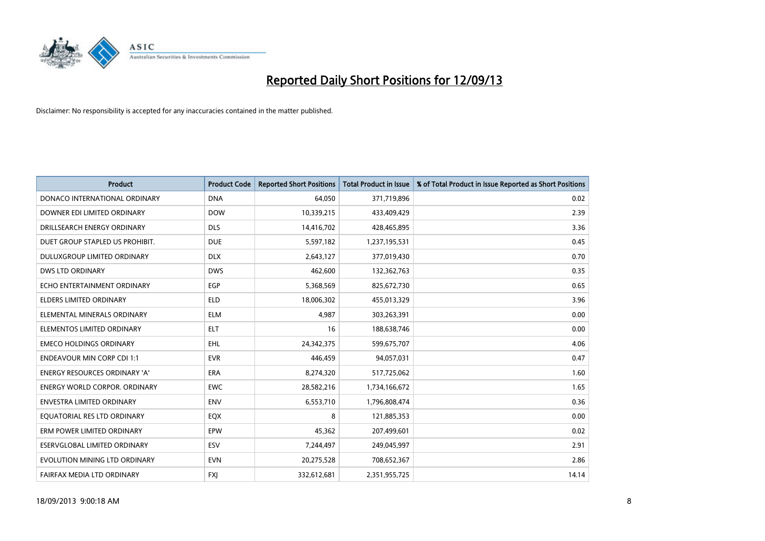

| <b>Product</b>                       | <b>Product Code</b> | <b>Reported Short Positions</b> | <b>Total Product in Issue</b> | % of Total Product in Issue Reported as Short Positions |
|--------------------------------------|---------------------|---------------------------------|-------------------------------|---------------------------------------------------------|
| DONACO INTERNATIONAL ORDINARY        | <b>DNA</b>          | 64,050                          | 371,719,896                   | 0.02                                                    |
| DOWNER EDI LIMITED ORDINARY          | <b>DOW</b>          | 10,339,215                      | 433,409,429                   | 2.39                                                    |
| DRILLSEARCH ENERGY ORDINARY          | <b>DLS</b>          | 14,416,702                      | 428,465,895                   | 3.36                                                    |
| DUET GROUP STAPLED US PROHIBIT.      | <b>DUE</b>          | 5,597,182                       | 1,237,195,531                 | 0.45                                                    |
| <b>DULUXGROUP LIMITED ORDINARY</b>   | <b>DLX</b>          | 2,643,127                       | 377,019,430                   | 0.70                                                    |
| <b>DWS LTD ORDINARY</b>              | <b>DWS</b>          | 462,600                         | 132,362,763                   | 0.35                                                    |
| ECHO ENTERTAINMENT ORDINARY          | <b>EGP</b>          | 5,368,569                       | 825,672,730                   | 0.65                                                    |
| <b>ELDERS LIMITED ORDINARY</b>       | <b>ELD</b>          | 18,006,302                      | 455,013,329                   | 3.96                                                    |
| ELEMENTAL MINERALS ORDINARY          | <b>ELM</b>          | 4,987                           | 303,263,391                   | 0.00                                                    |
| ELEMENTOS LIMITED ORDINARY           | <b>ELT</b>          | 16                              | 188,638,746                   | 0.00                                                    |
| <b>EMECO HOLDINGS ORDINARY</b>       | <b>EHL</b>          | 24,342,375                      | 599,675,707                   | 4.06                                                    |
| <b>ENDEAVOUR MIN CORP CDI 1:1</b>    | <b>EVR</b>          | 446,459                         | 94,057,031                    | 0.47                                                    |
| ENERGY RESOURCES ORDINARY 'A'        | <b>ERA</b>          | 8,274,320                       | 517,725,062                   | 1.60                                                    |
| <b>ENERGY WORLD CORPOR, ORDINARY</b> | <b>EWC</b>          | 28,582,216                      | 1,734,166,672                 | 1.65                                                    |
| <b>ENVESTRA LIMITED ORDINARY</b>     | <b>ENV</b>          | 6,553,710                       | 1,796,808,474                 | 0.36                                                    |
| EQUATORIAL RES LTD ORDINARY          | EQX                 | 8                               | 121,885,353                   | 0.00                                                    |
| ERM POWER LIMITED ORDINARY           | <b>EPW</b>          | 45,362                          | 207,499,601                   | 0.02                                                    |
| ESERVGLOBAL LIMITED ORDINARY         | <b>ESV</b>          | 7,244,497                       | 249,045,997                   | 2.91                                                    |
| EVOLUTION MINING LTD ORDINARY        | <b>EVN</b>          | 20,275,528                      | 708,652,367                   | 2.86                                                    |
| FAIRFAX MEDIA LTD ORDINARY           | <b>FXJ</b>          | 332,612,681                     | 2,351,955,725                 | 14.14                                                   |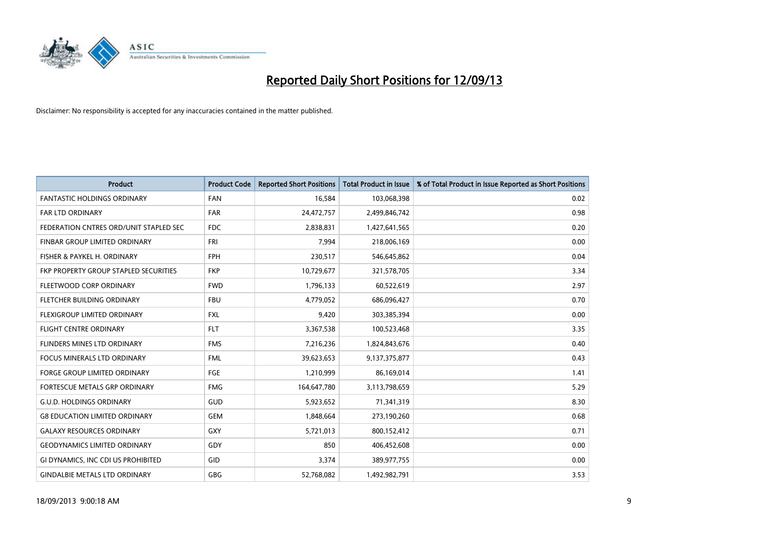

| <b>Product</b>                         | <b>Product Code</b> | <b>Reported Short Positions</b> | <b>Total Product in Issue</b> | % of Total Product in Issue Reported as Short Positions |
|----------------------------------------|---------------------|---------------------------------|-------------------------------|---------------------------------------------------------|
| <b>FANTASTIC HOLDINGS ORDINARY</b>     | <b>FAN</b>          | 16,584                          | 103,068,398                   | 0.02                                                    |
| FAR LTD ORDINARY                       | FAR                 | 24,472,757                      | 2,499,846,742                 | 0.98                                                    |
| FEDERATION CNTRES ORD/UNIT STAPLED SEC | <b>FDC</b>          | 2,838,831                       | 1,427,641,565                 | 0.20                                                    |
| FINBAR GROUP LIMITED ORDINARY          | <b>FRI</b>          | 7,994                           | 218,006,169                   | 0.00                                                    |
| FISHER & PAYKEL H. ORDINARY            | <b>FPH</b>          | 230,517                         | 546,645,862                   | 0.04                                                    |
| FKP PROPERTY GROUP STAPLED SECURITIES  | <b>FKP</b>          | 10,729,677                      | 321,578,705                   | 3.34                                                    |
| FLEETWOOD CORP ORDINARY                | <b>FWD</b>          | 1,796,133                       | 60,522,619                    | 2.97                                                    |
| FLETCHER BUILDING ORDINARY             | <b>FBU</b>          | 4,779,052                       | 686,096,427                   | 0.70                                                    |
| FLEXIGROUP LIMITED ORDINARY            | <b>FXL</b>          | 9,420                           | 303,385,394                   | 0.00                                                    |
| <b>FLIGHT CENTRE ORDINARY</b>          | <b>FLT</b>          | 3,367,538                       | 100,523,468                   | 3.35                                                    |
| FLINDERS MINES LTD ORDINARY            | <b>FMS</b>          | 7,216,236                       | 1,824,843,676                 | 0.40                                                    |
| <b>FOCUS MINERALS LTD ORDINARY</b>     | <b>FML</b>          | 39,623,653                      | 9,137,375,877                 | 0.43                                                    |
| FORGE GROUP LIMITED ORDINARY           | FGE                 | 1,210,999                       | 86,169,014                    | 1.41                                                    |
| FORTESCUE METALS GRP ORDINARY          | <b>FMG</b>          | 164,647,780                     | 3,113,798,659                 | 5.29                                                    |
| <b>G.U.D. HOLDINGS ORDINARY</b>        | <b>GUD</b>          | 5,923,652                       | 71,341,319                    | 8.30                                                    |
| <b>G8 EDUCATION LIMITED ORDINARY</b>   | <b>GEM</b>          | 1,848,664                       | 273,190,260                   | 0.68                                                    |
| <b>GALAXY RESOURCES ORDINARY</b>       | GXY                 | 5,721,013                       | 800,152,412                   | 0.71                                                    |
| <b>GEODYNAMICS LIMITED ORDINARY</b>    | GDY                 | 850                             | 406,452,608                   | 0.00                                                    |
| GI DYNAMICS, INC CDI US PROHIBITED     | GID                 | 3,374                           | 389,977,755                   | 0.00                                                    |
| <b>GINDALBIE METALS LTD ORDINARY</b>   | GBG                 | 52,768,082                      | 1,492,982,791                 | 3.53                                                    |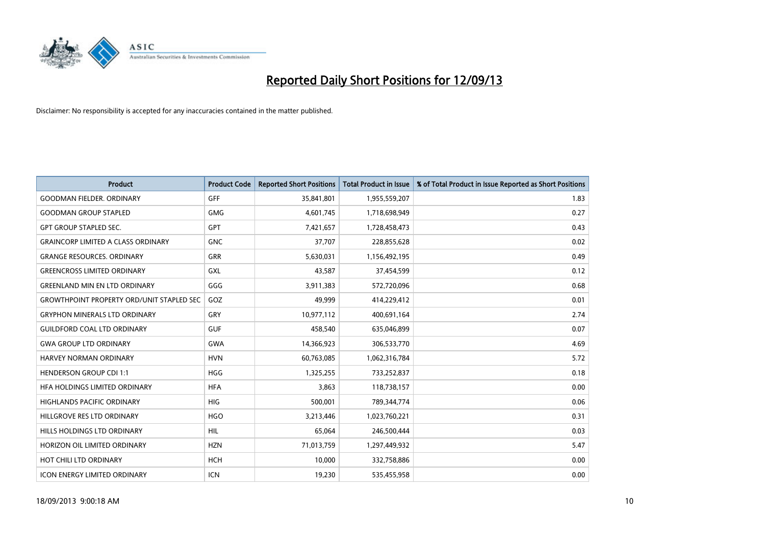

| <b>Product</b>                                   | <b>Product Code</b> | <b>Reported Short Positions</b> | <b>Total Product in Issue</b> | % of Total Product in Issue Reported as Short Positions |
|--------------------------------------------------|---------------------|---------------------------------|-------------------------------|---------------------------------------------------------|
| <b>GOODMAN FIELDER, ORDINARY</b>                 | <b>GFF</b>          | 35,841,801                      | 1,955,559,207                 | 1.83                                                    |
| <b>GOODMAN GROUP STAPLED</b>                     | GMG                 | 4,601,745                       | 1,718,698,949                 | 0.27                                                    |
| <b>GPT GROUP STAPLED SEC.</b>                    | <b>GPT</b>          | 7,421,657                       | 1,728,458,473                 | 0.43                                                    |
| <b>GRAINCORP LIMITED A CLASS ORDINARY</b>        | <b>GNC</b>          | 37,707                          | 228,855,628                   | 0.02                                                    |
| <b>GRANGE RESOURCES, ORDINARY</b>                | GRR                 | 5,630,031                       | 1,156,492,195                 | 0.49                                                    |
| <b>GREENCROSS LIMITED ORDINARY</b>               | <b>GXL</b>          | 43,587                          | 37,454,599                    | 0.12                                                    |
| <b>GREENLAND MIN EN LTD ORDINARY</b>             | GGG                 | 3,911,383                       | 572,720,096                   | 0.68                                                    |
| <b>GROWTHPOINT PROPERTY ORD/UNIT STAPLED SEC</b> | GOZ                 | 49,999                          | 414,229,412                   | 0.01                                                    |
| <b>GRYPHON MINERALS LTD ORDINARY</b>             | GRY                 | 10,977,112                      | 400,691,164                   | 2.74                                                    |
| <b>GUILDFORD COAL LTD ORDINARY</b>               | <b>GUF</b>          | 458,540                         | 635,046,899                   | 0.07                                                    |
| <b>GWA GROUP LTD ORDINARY</b>                    | <b>GWA</b>          | 14,366,923                      | 306,533,770                   | 4.69                                                    |
| HARVEY NORMAN ORDINARY                           | <b>HVN</b>          | 60,763,085                      | 1,062,316,784                 | 5.72                                                    |
| <b>HENDERSON GROUP CDI 1:1</b>                   | <b>HGG</b>          | 1,325,255                       | 733,252,837                   | 0.18                                                    |
| HFA HOLDINGS LIMITED ORDINARY                    | <b>HFA</b>          | 3,863                           | 118,738,157                   | 0.00                                                    |
| <b>HIGHLANDS PACIFIC ORDINARY</b>                | <b>HIG</b>          | 500,001                         | 789,344,774                   | 0.06                                                    |
| HILLGROVE RES LTD ORDINARY                       | <b>HGO</b>          | 3,213,446                       | 1,023,760,221                 | 0.31                                                    |
| HILLS HOLDINGS LTD ORDINARY                      | HIL                 | 65,064                          | 246,500,444                   | 0.03                                                    |
| HORIZON OIL LIMITED ORDINARY                     | <b>HZN</b>          | 71,013,759                      | 1,297,449,932                 | 5.47                                                    |
| HOT CHILI LTD ORDINARY                           | <b>HCH</b>          | 10,000                          | 332,758,886                   | 0.00                                                    |
| <b>ICON ENERGY LIMITED ORDINARY</b>              | ICN                 | 19,230                          | 535,455,958                   | 0.00                                                    |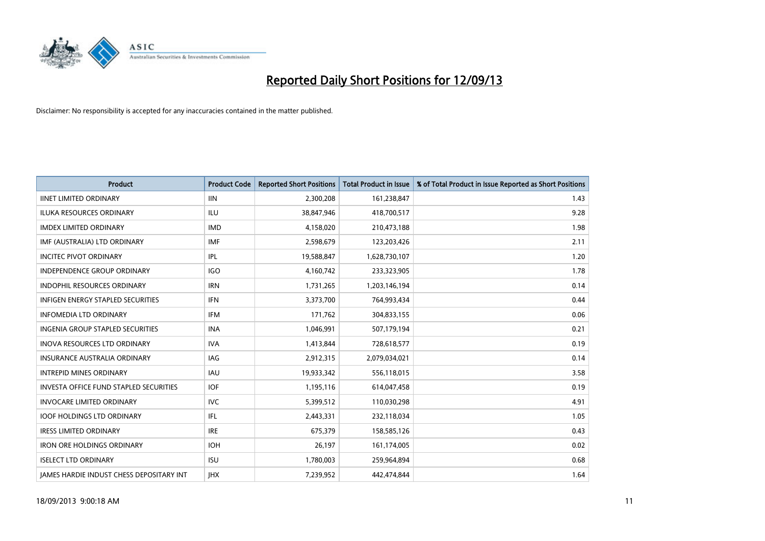

| <b>Product</b>                                  | <b>Product Code</b> | <b>Reported Short Positions</b> | <b>Total Product in Issue</b> | % of Total Product in Issue Reported as Short Positions |
|-------------------------------------------------|---------------------|---------------------------------|-------------------------------|---------------------------------------------------------|
| <b>IINET LIMITED ORDINARY</b>                   | <b>IIN</b>          | 2,300,208                       | 161,238,847                   | 1.43                                                    |
| ILUKA RESOURCES ORDINARY                        | ILU                 | 38,847,946                      | 418,700,517                   | 9.28                                                    |
| <b>IMDEX LIMITED ORDINARY</b>                   | <b>IMD</b>          | 4,158,020                       | 210,473,188                   | 1.98                                                    |
| IMF (AUSTRALIA) LTD ORDINARY                    | <b>IMF</b>          | 2,598,679                       | 123,203,426                   | 2.11                                                    |
| <b>INCITEC PIVOT ORDINARY</b>                   | <b>IPL</b>          | 19,588,847                      | 1,628,730,107                 | 1.20                                                    |
| <b>INDEPENDENCE GROUP ORDINARY</b>              | <b>IGO</b>          | 4,160,742                       | 233,323,905                   | 1.78                                                    |
| <b>INDOPHIL RESOURCES ORDINARY</b>              | <b>IRN</b>          | 1,731,265                       | 1,203,146,194                 | 0.14                                                    |
| <b>INFIGEN ENERGY STAPLED SECURITIES</b>        | <b>IFN</b>          | 3,373,700                       | 764,993,434                   | 0.44                                                    |
| <b>INFOMEDIA LTD ORDINARY</b>                   | <b>IFM</b>          | 171,762                         | 304,833,155                   | 0.06                                                    |
| INGENIA GROUP STAPLED SECURITIES                | <b>INA</b>          | 1,046,991                       | 507,179,194                   | 0.21                                                    |
| INOVA RESOURCES LTD ORDINARY                    | <b>IVA</b>          | 1,413,844                       | 728,618,577                   | 0.19                                                    |
| <b>INSURANCE AUSTRALIA ORDINARY</b>             | <b>IAG</b>          | 2,912,315                       | 2,079,034,021                 | 0.14                                                    |
| <b>INTREPID MINES ORDINARY</b>                  | <b>IAU</b>          | 19,933,342                      | 556,118,015                   | 3.58                                                    |
| <b>INVESTA OFFICE FUND STAPLED SECURITIES</b>   | <b>IOF</b>          | 1,195,116                       | 614,047,458                   | 0.19                                                    |
| <b>INVOCARE LIMITED ORDINARY</b>                | <b>IVC</b>          | 5,399,512                       | 110,030,298                   | 4.91                                                    |
| <b>IOOF HOLDINGS LTD ORDINARY</b>               | IFL                 | 2,443,331                       | 232,118,034                   | 1.05                                                    |
| <b>IRESS LIMITED ORDINARY</b>                   | <b>IRE</b>          | 675,379                         | 158,585,126                   | 0.43                                                    |
| <b>IRON ORE HOLDINGS ORDINARY</b>               | <b>IOH</b>          | 26,197                          | 161,174,005                   | 0.02                                                    |
| <b>ISELECT LTD ORDINARY</b>                     | <b>ISU</b>          | 1,780,003                       | 259,964,894                   | 0.68                                                    |
| <b>IAMES HARDIE INDUST CHESS DEPOSITARY INT</b> | <b>IHX</b>          | 7,239,952                       | 442,474,844                   | 1.64                                                    |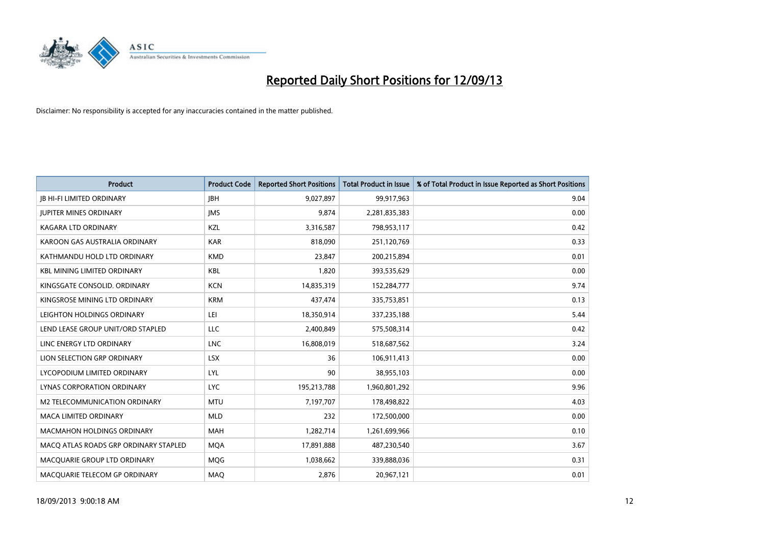

| <b>Product</b>                        | <b>Product Code</b> | <b>Reported Short Positions</b> | <b>Total Product in Issue</b> | % of Total Product in Issue Reported as Short Positions |
|---------------------------------------|---------------------|---------------------------------|-------------------------------|---------------------------------------------------------|
| <b>JB HI-FI LIMITED ORDINARY</b>      | <b>JBH</b>          | 9,027,897                       | 99,917,963                    | 9.04                                                    |
| <b>JUPITER MINES ORDINARY</b>         | <b>IMS</b>          | 9,874                           | 2,281,835,383                 | 0.00                                                    |
| <b>KAGARA LTD ORDINARY</b>            | KZL                 | 3,316,587                       | 798,953,117                   | 0.42                                                    |
| KAROON GAS AUSTRALIA ORDINARY         | <b>KAR</b>          | 818,090                         | 251,120,769                   | 0.33                                                    |
| KATHMANDU HOLD LTD ORDINARY           | <b>KMD</b>          | 23,847                          | 200,215,894                   | 0.01                                                    |
| <b>KBL MINING LIMITED ORDINARY</b>    | <b>KBL</b>          | 1,820                           | 393,535,629                   | 0.00                                                    |
| KINGSGATE CONSOLID. ORDINARY          | <b>KCN</b>          | 14,835,319                      | 152,284,777                   | 9.74                                                    |
| KINGSROSE MINING LTD ORDINARY         | <b>KRM</b>          | 437,474                         | 335,753,851                   | 0.13                                                    |
| LEIGHTON HOLDINGS ORDINARY            | LEI                 | 18,350,914                      | 337,235,188                   | 5.44                                                    |
| LEND LEASE GROUP UNIT/ORD STAPLED     | <b>LLC</b>          | 2,400,849                       | 575,508,314                   | 0.42                                                    |
| LINC ENERGY LTD ORDINARY              | <b>LNC</b>          | 16,808,019                      | 518,687,562                   | 3.24                                                    |
| LION SELECTION GRP ORDINARY           | <b>LSX</b>          | 36                              | 106,911,413                   | 0.00                                                    |
| LYCOPODIUM LIMITED ORDINARY           | <b>LYL</b>          | 90                              | 38,955,103                    | 0.00                                                    |
| LYNAS CORPORATION ORDINARY            | <b>LYC</b>          | 195,213,788                     | 1,960,801,292                 | 9.96                                                    |
| <b>M2 TELECOMMUNICATION ORDINARY</b>  | <b>MTU</b>          | 7,197,707                       | 178,498,822                   | 4.03                                                    |
| MACA LIMITED ORDINARY                 | <b>MLD</b>          | 232                             | 172,500,000                   | 0.00                                                    |
| MACMAHON HOLDINGS ORDINARY            | MAH                 | 1,282,714                       | 1,261,699,966                 | 0.10                                                    |
| MACQ ATLAS ROADS GRP ORDINARY STAPLED | <b>MOA</b>          | 17,891,888                      | 487,230,540                   | 3.67                                                    |
| MACQUARIE GROUP LTD ORDINARY          | MQG                 | 1,038,662                       | 339,888,036                   | 0.31                                                    |
| MACQUARIE TELECOM GP ORDINARY         | MAQ                 | 2,876                           | 20,967,121                    | 0.01                                                    |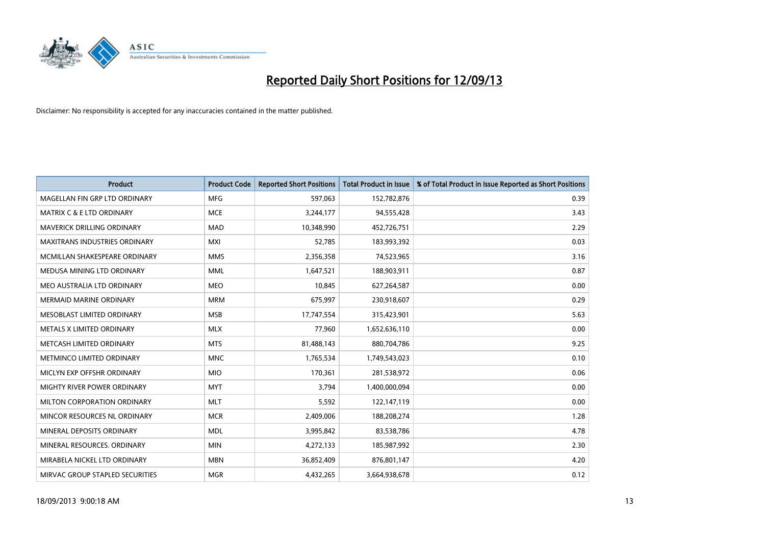

| <b>Product</b>                       | <b>Product Code</b> | <b>Reported Short Positions</b> | <b>Total Product in Issue</b> | % of Total Product in Issue Reported as Short Positions |
|--------------------------------------|---------------------|---------------------------------|-------------------------------|---------------------------------------------------------|
| MAGELLAN FIN GRP LTD ORDINARY        | <b>MFG</b>          | 597,063                         | 152,782,876                   | 0.39                                                    |
| <b>MATRIX C &amp; E LTD ORDINARY</b> | <b>MCE</b>          | 3,244,177                       | 94,555,428                    | 3.43                                                    |
| <b>MAVERICK DRILLING ORDINARY</b>    | <b>MAD</b>          | 10,348,990                      | 452,726,751                   | 2.29                                                    |
| MAXITRANS INDUSTRIES ORDINARY        | <b>MXI</b>          | 52,785                          | 183,993,392                   | 0.03                                                    |
| MCMILLAN SHAKESPEARE ORDINARY        | <b>MMS</b>          | 2,356,358                       | 74,523,965                    | 3.16                                                    |
| MEDUSA MINING LTD ORDINARY           | <b>MML</b>          | 1,647,521                       | 188,903,911                   | 0.87                                                    |
| MEO AUSTRALIA LTD ORDINARY           | <b>MEO</b>          | 10,845                          | 627,264,587                   | 0.00                                                    |
| <b>MERMAID MARINE ORDINARY</b>       | <b>MRM</b>          | 675,997                         | 230,918,607                   | 0.29                                                    |
| MESOBLAST LIMITED ORDINARY           | <b>MSB</b>          | 17,747,554                      | 315,423,901                   | 5.63                                                    |
| METALS X LIMITED ORDINARY            | <b>MLX</b>          | 77,960                          | 1,652,636,110                 | 0.00                                                    |
| METCASH LIMITED ORDINARY             | <b>MTS</b>          | 81,488,143                      | 880,704,786                   | 9.25                                                    |
| METMINCO LIMITED ORDINARY            | <b>MNC</b>          | 1,765,534                       | 1,749,543,023                 | 0.10                                                    |
| MICLYN EXP OFFSHR ORDINARY           | <b>MIO</b>          | 170,361                         | 281,538,972                   | 0.06                                                    |
| MIGHTY RIVER POWER ORDINARY          | <b>MYT</b>          | 3,794                           | 1,400,000,094                 | 0.00                                                    |
| MILTON CORPORATION ORDINARY          | <b>MLT</b>          | 5,592                           | 122,147,119                   | 0.00                                                    |
| MINCOR RESOURCES NL ORDINARY         | <b>MCR</b>          | 2,409,006                       | 188,208,274                   | 1.28                                                    |
| MINERAL DEPOSITS ORDINARY            | <b>MDL</b>          | 3,995,842                       | 83,538,786                    | 4.78                                                    |
| MINERAL RESOURCES. ORDINARY          | <b>MIN</b>          | 4,272,133                       | 185,987,992                   | 2.30                                                    |
| MIRABELA NICKEL LTD ORDINARY         | <b>MBN</b>          | 36,852,409                      | 876,801,147                   | 4.20                                                    |
| MIRVAC GROUP STAPLED SECURITIES      | <b>MGR</b>          | 4,432,265                       | 3,664,938,678                 | 0.12                                                    |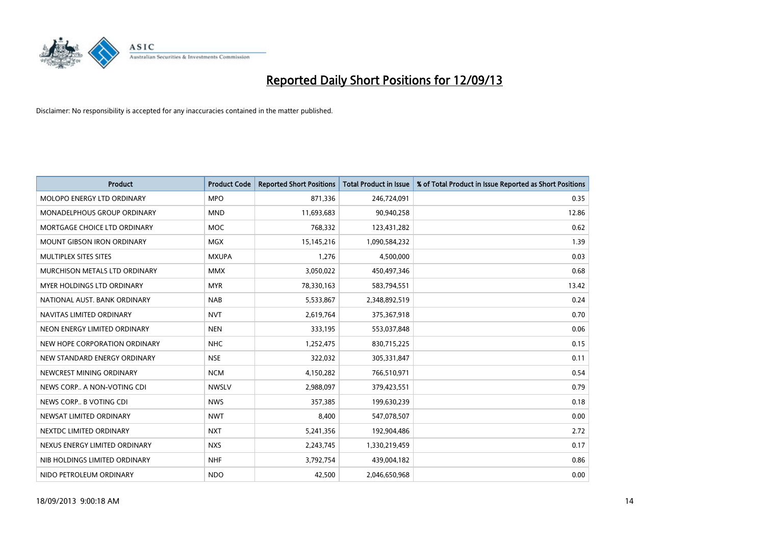

| <b>Product</b>                    | <b>Product Code</b> | <b>Reported Short Positions</b> | <b>Total Product in Issue</b> | % of Total Product in Issue Reported as Short Positions |
|-----------------------------------|---------------------|---------------------------------|-------------------------------|---------------------------------------------------------|
| MOLOPO ENERGY LTD ORDINARY        | <b>MPO</b>          | 871,336                         | 246,724,091                   | 0.35                                                    |
| MONADELPHOUS GROUP ORDINARY       | <b>MND</b>          | 11,693,683                      | 90,940,258                    | 12.86                                                   |
| MORTGAGE CHOICE LTD ORDINARY      | <b>MOC</b>          | 768,332                         | 123,431,282                   | 0.62                                                    |
| <b>MOUNT GIBSON IRON ORDINARY</b> | <b>MGX</b>          | 15,145,216                      | 1,090,584,232                 | 1.39                                                    |
| MULTIPLEX SITES SITES             | <b>MXUPA</b>        | 1,276                           | 4,500,000                     | 0.03                                                    |
| MURCHISON METALS LTD ORDINARY     | <b>MMX</b>          | 3,050,022                       | 450,497,346                   | 0.68                                                    |
| MYER HOLDINGS LTD ORDINARY        | <b>MYR</b>          | 78,330,163                      | 583,794,551                   | 13.42                                                   |
| NATIONAL AUST, BANK ORDINARY      | <b>NAB</b>          | 5,533,867                       | 2,348,892,519                 | 0.24                                                    |
| NAVITAS LIMITED ORDINARY          | <b>NVT</b>          | 2,619,764                       | 375,367,918                   | 0.70                                                    |
| NEON ENERGY LIMITED ORDINARY      | <b>NEN</b>          | 333,195                         | 553,037,848                   | 0.06                                                    |
| NEW HOPE CORPORATION ORDINARY     | <b>NHC</b>          | 1,252,475                       | 830,715,225                   | 0.15                                                    |
| NEW STANDARD ENERGY ORDINARY      | <b>NSE</b>          | 322,032                         | 305,331,847                   | 0.11                                                    |
| NEWCREST MINING ORDINARY          | <b>NCM</b>          | 4,150,282                       | 766,510,971                   | 0.54                                                    |
| NEWS CORP A NON-VOTING CDI        | <b>NWSLV</b>        | 2,988,097                       | 379,423,551                   | 0.79                                                    |
| NEWS CORP B VOTING CDI            | <b>NWS</b>          | 357,385                         | 199,630,239                   | 0.18                                                    |
| NEWSAT LIMITED ORDINARY           | <b>NWT</b>          | 8,400                           | 547,078,507                   | 0.00                                                    |
| NEXTDC LIMITED ORDINARY           | <b>NXT</b>          | 5,241,356                       | 192,904,486                   | 2.72                                                    |
| NEXUS ENERGY LIMITED ORDINARY     | <b>NXS</b>          | 2,243,745                       | 1,330,219,459                 | 0.17                                                    |
| NIB HOLDINGS LIMITED ORDINARY     | <b>NHF</b>          | 3,792,754                       | 439,004,182                   | 0.86                                                    |
| NIDO PETROLEUM ORDINARY           | <b>NDO</b>          | 42,500                          | 2,046,650,968                 | 0.00                                                    |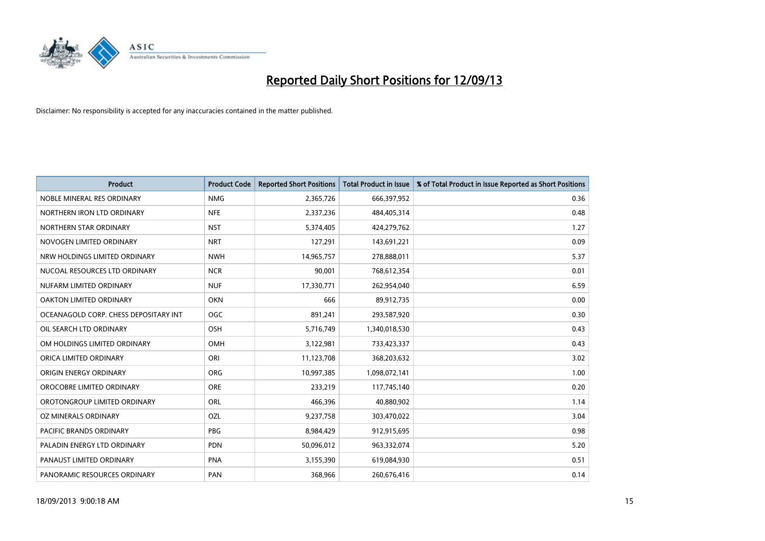

| <b>Product</b>                        | <b>Product Code</b> | <b>Reported Short Positions</b> | <b>Total Product in Issue</b> | % of Total Product in Issue Reported as Short Positions |
|---------------------------------------|---------------------|---------------------------------|-------------------------------|---------------------------------------------------------|
| NOBLE MINERAL RES ORDINARY            | <b>NMG</b>          | 2,365,726                       | 666,397,952                   | 0.36                                                    |
| NORTHERN IRON LTD ORDINARY            | <b>NFE</b>          | 2,337,236                       | 484,405,314                   | 0.48                                                    |
| NORTHERN STAR ORDINARY                | <b>NST</b>          | 5,374,405                       | 424,279,762                   | 1.27                                                    |
| NOVOGEN LIMITED ORDINARY              | <b>NRT</b>          | 127,291                         | 143,691,221                   | 0.09                                                    |
| NRW HOLDINGS LIMITED ORDINARY         | <b>NWH</b>          | 14,965,757                      | 278,888,011                   | 5.37                                                    |
| NUCOAL RESOURCES LTD ORDINARY         | <b>NCR</b>          | 90,001                          | 768,612,354                   | 0.01                                                    |
| NUFARM LIMITED ORDINARY               | <b>NUF</b>          | 17,330,771                      | 262,954,040                   | 6.59                                                    |
| <b>OAKTON LIMITED ORDINARY</b>        | <b>OKN</b>          | 666                             | 89,912,735                    | 0.00                                                    |
| OCEANAGOLD CORP. CHESS DEPOSITARY INT | OGC                 | 891,241                         | 293,587,920                   | 0.30                                                    |
| OIL SEARCH LTD ORDINARY               | <b>OSH</b>          | 5,716,749                       | 1,340,018,530                 | 0.43                                                    |
| OM HOLDINGS LIMITED ORDINARY          | OMH                 | 3,122,981                       | 733,423,337                   | 0.43                                                    |
| ORICA LIMITED ORDINARY                | ORI                 | 11,123,708                      | 368,203,632                   | 3.02                                                    |
| ORIGIN ENERGY ORDINARY                | ORG                 | 10,997,385                      | 1,098,072,141                 | 1.00                                                    |
| OROCOBRE LIMITED ORDINARY             | <b>ORE</b>          | 233,219                         | 117,745,140                   | 0.20                                                    |
| OROTONGROUP LIMITED ORDINARY          | ORL                 | 466,396                         | 40,880,902                    | 1.14                                                    |
| OZ MINERALS ORDINARY                  | OZL                 | 9,237,758                       | 303,470,022                   | 3.04                                                    |
| PACIFIC BRANDS ORDINARY               | <b>PBG</b>          | 8,984,429                       | 912,915,695                   | 0.98                                                    |
| PALADIN ENERGY LTD ORDINARY           | <b>PDN</b>          | 50,096,012                      | 963,332,074                   | 5.20                                                    |
| PANAUST LIMITED ORDINARY              | <b>PNA</b>          | 3,155,390                       | 619,084,930                   | 0.51                                                    |
| PANORAMIC RESOURCES ORDINARY          | PAN                 | 368,966                         | 260,676,416                   | 0.14                                                    |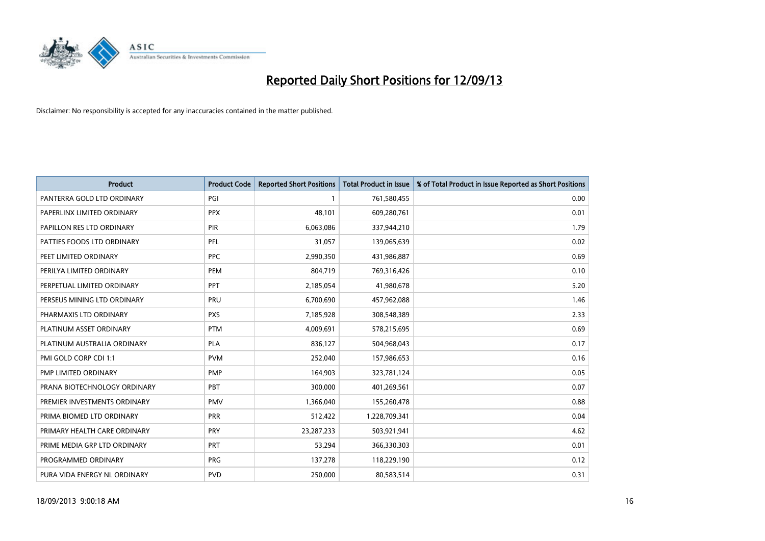

| <b>Product</b>               | <b>Product Code</b> | <b>Reported Short Positions</b> | <b>Total Product in Issue</b> | % of Total Product in Issue Reported as Short Positions |
|------------------------------|---------------------|---------------------------------|-------------------------------|---------------------------------------------------------|
| PANTERRA GOLD LTD ORDINARY   | PGI                 | 1                               | 761,580,455                   | 0.00                                                    |
| PAPERLINX LIMITED ORDINARY   | <b>PPX</b>          | 48,101                          | 609,280,761                   | 0.01                                                    |
| PAPILLON RES LTD ORDINARY    | <b>PIR</b>          | 6,063,086                       | 337,944,210                   | 1.79                                                    |
| PATTIES FOODS LTD ORDINARY   | PFL                 | 31,057                          | 139,065,639                   | 0.02                                                    |
| PEET LIMITED ORDINARY        | <b>PPC</b>          | 2,990,350                       | 431,986,887                   | 0.69                                                    |
| PERILYA LIMITED ORDINARY     | PEM                 | 804,719                         | 769,316,426                   | 0.10                                                    |
| PERPETUAL LIMITED ORDINARY   | PPT                 | 2,185,054                       | 41,980,678                    | 5.20                                                    |
| PERSEUS MINING LTD ORDINARY  | PRU                 | 6,700,690                       | 457,962,088                   | 1.46                                                    |
| PHARMAXIS LTD ORDINARY       | <b>PXS</b>          | 7,185,928                       | 308,548,389                   | 2.33                                                    |
| PLATINUM ASSET ORDINARY      | <b>PTM</b>          | 4,009,691                       | 578,215,695                   | 0.69                                                    |
| PLATINUM AUSTRALIA ORDINARY  | <b>PLA</b>          | 836,127                         | 504,968,043                   | 0.17                                                    |
| PMI GOLD CORP CDI 1:1        | <b>PVM</b>          | 252,040                         | 157,986,653                   | 0.16                                                    |
| PMP LIMITED ORDINARY         | <b>PMP</b>          | 164,903                         | 323,781,124                   | 0.05                                                    |
| PRANA BIOTECHNOLOGY ORDINARY | PBT                 | 300,000                         | 401,269,561                   | 0.07                                                    |
| PREMIER INVESTMENTS ORDINARY | <b>PMV</b>          | 1,366,040                       | 155,260,478                   | 0.88                                                    |
| PRIMA BIOMED LTD ORDINARY    | <b>PRR</b>          | 512,422                         | 1,228,709,341                 | 0.04                                                    |
| PRIMARY HEALTH CARE ORDINARY | <b>PRY</b>          | 23,287,233                      | 503,921,941                   | 4.62                                                    |
| PRIME MEDIA GRP LTD ORDINARY | <b>PRT</b>          | 53,294                          | 366,330,303                   | 0.01                                                    |
| PROGRAMMED ORDINARY          | <b>PRG</b>          | 137,278                         | 118,229,190                   | 0.12                                                    |
| PURA VIDA ENERGY NL ORDINARY | <b>PVD</b>          | 250,000                         | 80,583,514                    | 0.31                                                    |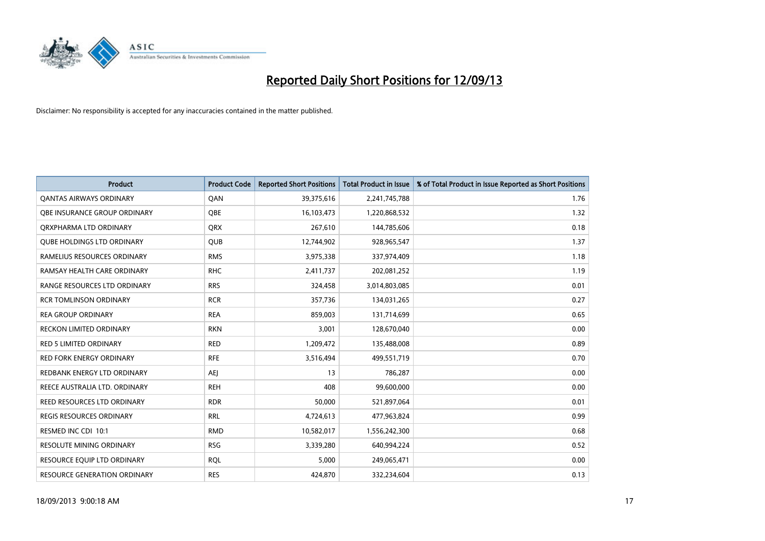

| <b>Product</b>                      | <b>Product Code</b> | <b>Reported Short Positions</b> | <b>Total Product in Issue</b> | % of Total Product in Issue Reported as Short Positions |
|-------------------------------------|---------------------|---------------------------------|-------------------------------|---------------------------------------------------------|
| <b>QANTAS AIRWAYS ORDINARY</b>      | QAN                 | 39,375,616                      | 2,241,745,788                 | 1.76                                                    |
| <b>OBE INSURANCE GROUP ORDINARY</b> | <b>OBE</b>          | 16,103,473                      | 1,220,868,532                 | 1.32                                                    |
| ORXPHARMA LTD ORDINARY              | <b>QRX</b>          | 267,610                         | 144,785,606                   | 0.18                                                    |
| <b>QUBE HOLDINGS LTD ORDINARY</b>   | <b>QUB</b>          | 12,744,902                      | 928,965,547                   | 1.37                                                    |
| RAMELIUS RESOURCES ORDINARY         | <b>RMS</b>          | 3,975,338                       | 337,974,409                   | 1.18                                                    |
| RAMSAY HEALTH CARE ORDINARY         | <b>RHC</b>          | 2,411,737                       | 202,081,252                   | 1.19                                                    |
| RANGE RESOURCES LTD ORDINARY        | <b>RRS</b>          | 324,458                         | 3,014,803,085                 | 0.01                                                    |
| <b>RCR TOMLINSON ORDINARY</b>       | <b>RCR</b>          | 357,736                         | 134,031,265                   | 0.27                                                    |
| <b>REA GROUP ORDINARY</b>           | <b>REA</b>          | 859,003                         | 131,714,699                   | 0.65                                                    |
| <b>RECKON LIMITED ORDINARY</b>      | <b>RKN</b>          | 3,001                           | 128,670,040                   | 0.00                                                    |
| <b>RED 5 LIMITED ORDINARY</b>       | <b>RED</b>          | 1,209,472                       | 135,488,008                   | 0.89                                                    |
| <b>RED FORK ENERGY ORDINARY</b>     | <b>RFE</b>          | 3,516,494                       | 499,551,719                   | 0.70                                                    |
| REDBANK ENERGY LTD ORDINARY         | AEJ                 | 13                              | 786,287                       | 0.00                                                    |
| REECE AUSTRALIA LTD. ORDINARY       | <b>REH</b>          | 408                             | 99,600,000                    | 0.00                                                    |
| REED RESOURCES LTD ORDINARY         | <b>RDR</b>          | 50,000                          | 521,897,064                   | 0.01                                                    |
| <b>REGIS RESOURCES ORDINARY</b>     | <b>RRL</b>          | 4,724,613                       | 477,963,824                   | 0.99                                                    |
| RESMED INC CDI 10:1                 | <b>RMD</b>          | 10,582,017                      | 1,556,242,300                 | 0.68                                                    |
| RESOLUTE MINING ORDINARY            | <b>RSG</b>          | 3,339,280                       | 640,994,224                   | 0.52                                                    |
| RESOURCE EQUIP LTD ORDINARY         | <b>ROL</b>          | 5,000                           | 249,065,471                   | 0.00                                                    |
| RESOURCE GENERATION ORDINARY        | <b>RES</b>          | 424,870                         | 332,234,604                   | 0.13                                                    |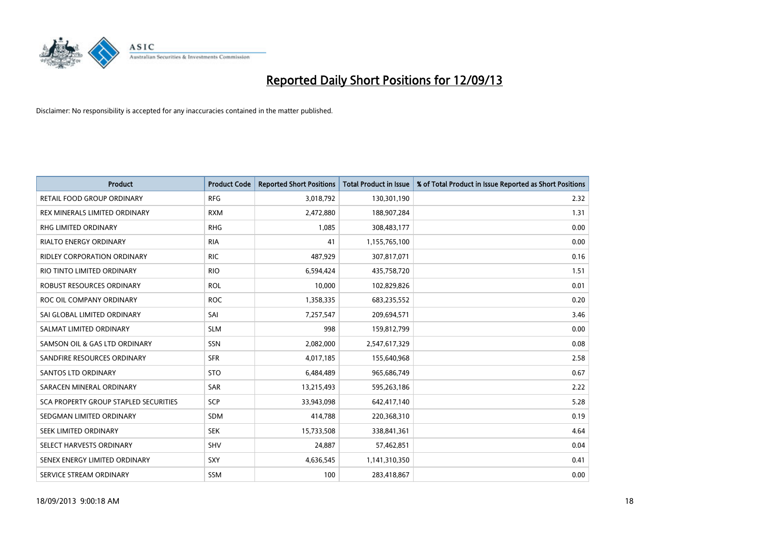

| <b>Product</b>                               | <b>Product Code</b> | <b>Reported Short Positions</b> | <b>Total Product in Issue</b> | % of Total Product in Issue Reported as Short Positions |
|----------------------------------------------|---------------------|---------------------------------|-------------------------------|---------------------------------------------------------|
| <b>RETAIL FOOD GROUP ORDINARY</b>            | <b>RFG</b>          | 3,018,792                       | 130,301,190                   | 2.32                                                    |
| REX MINERALS LIMITED ORDINARY                | <b>RXM</b>          | 2,472,880                       | 188,907,284                   | 1.31                                                    |
| RHG LIMITED ORDINARY                         | <b>RHG</b>          | 1,085                           | 308,483,177                   | 0.00                                                    |
| <b>RIALTO ENERGY ORDINARY</b>                | <b>RIA</b>          | 41                              | 1,155,765,100                 | 0.00                                                    |
| <b>RIDLEY CORPORATION ORDINARY</b>           | <b>RIC</b>          | 487,929                         | 307,817,071                   | 0.16                                                    |
| RIO TINTO LIMITED ORDINARY                   | <b>RIO</b>          | 6,594,424                       | 435,758,720                   | 1.51                                                    |
| <b>ROBUST RESOURCES ORDINARY</b>             | <b>ROL</b>          | 10,000                          | 102,829,826                   | 0.01                                                    |
| ROC OIL COMPANY ORDINARY                     | <b>ROC</b>          | 1,358,335                       | 683,235,552                   | 0.20                                                    |
| SAI GLOBAL LIMITED ORDINARY                  | SAI                 | 7,257,547                       | 209,694,571                   | 3.46                                                    |
| SALMAT LIMITED ORDINARY                      | <b>SLM</b>          | 998                             | 159,812,799                   | 0.00                                                    |
| SAMSON OIL & GAS LTD ORDINARY                | SSN                 | 2,082,000                       | 2,547,617,329                 | 0.08                                                    |
| SANDFIRE RESOURCES ORDINARY                  | <b>SFR</b>          | 4,017,185                       | 155,640,968                   | 2.58                                                    |
| SANTOS LTD ORDINARY                          | <b>STO</b>          | 6,484,489                       | 965,686,749                   | 0.67                                                    |
| SARACEN MINERAL ORDINARY                     | SAR                 | 13,215,493                      | 595,263,186                   | 2.22                                                    |
| <b>SCA PROPERTY GROUP STAPLED SECURITIES</b> | SCP                 | 33,943,098                      | 642,417,140                   | 5.28                                                    |
| SEDGMAN LIMITED ORDINARY                     | SDM                 | 414,788                         | 220,368,310                   | 0.19                                                    |
| SEEK LIMITED ORDINARY                        | <b>SEK</b>          | 15,733,508                      | 338,841,361                   | 4.64                                                    |
| SELECT HARVESTS ORDINARY                     | SHV                 | 24,887                          | 57,462,851                    | 0.04                                                    |
| SENEX ENERGY LIMITED ORDINARY                | <b>SXY</b>          | 4,636,545                       | 1,141,310,350                 | 0.41                                                    |
| SERVICE STREAM ORDINARY                      | <b>SSM</b>          | 100                             | 283,418,867                   | 0.00                                                    |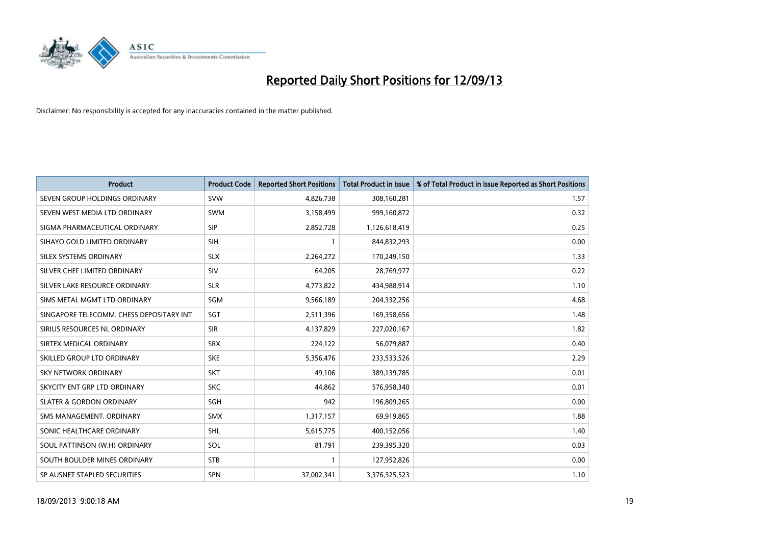

| <b>Product</b>                           | <b>Product Code</b> | <b>Reported Short Positions</b> | <b>Total Product in Issue</b> | % of Total Product in Issue Reported as Short Positions |
|------------------------------------------|---------------------|---------------------------------|-------------------------------|---------------------------------------------------------|
| SEVEN GROUP HOLDINGS ORDINARY            | <b>SVW</b>          | 4,826,738                       | 308,160,281                   | 1.57                                                    |
| SEVEN WEST MEDIA LTD ORDINARY            | <b>SWM</b>          | 3,158,499                       | 999,160,872                   | 0.32                                                    |
| SIGMA PHARMACEUTICAL ORDINARY            | <b>SIP</b>          | 2,852,728                       | 1,126,618,419                 | 0.25                                                    |
| SIHAYO GOLD LIMITED ORDINARY             | <b>SIH</b>          | 1                               | 844,832,293                   | 0.00                                                    |
| SILEX SYSTEMS ORDINARY                   | <b>SLX</b>          | 2,264,272                       | 170,249,150                   | 1.33                                                    |
| SILVER CHEF LIMITED ORDINARY             | SIV                 | 64,205                          | 28,769,977                    | 0.22                                                    |
| SILVER LAKE RESOURCE ORDINARY            | <b>SLR</b>          | 4,773,822                       | 434,988,914                   | 1.10                                                    |
| SIMS METAL MGMT LTD ORDINARY             | SGM                 | 9,566,189                       | 204,332,256                   | 4.68                                                    |
| SINGAPORE TELECOMM. CHESS DEPOSITARY INT | SGT                 | 2,511,396                       | 169,358,656                   | 1.48                                                    |
| SIRIUS RESOURCES NL ORDINARY             | <b>SIR</b>          | 4,137,829                       | 227,020,167                   | 1.82                                                    |
| SIRTEX MEDICAL ORDINARY                  | <b>SRX</b>          | 224,122                         | 56,079,887                    | 0.40                                                    |
| SKILLED GROUP LTD ORDINARY               | <b>SKE</b>          | 5,356,476                       | 233,533,526                   | 2.29                                                    |
| <b>SKY NETWORK ORDINARY</b>              | <b>SKT</b>          | 49,106                          | 389,139,785                   | 0.01                                                    |
| SKYCITY ENT GRP LTD ORDINARY             | <b>SKC</b>          | 44,862                          | 576,958,340                   | 0.01                                                    |
| <b>SLATER &amp; GORDON ORDINARY</b>      | SGH                 | 942                             | 196,809,265                   | 0.00                                                    |
| SMS MANAGEMENT. ORDINARY                 | <b>SMX</b>          | 1,317,157                       | 69,919,865                    | 1.88                                                    |
| SONIC HEALTHCARE ORDINARY                | <b>SHL</b>          | 5,615,775                       | 400,152,056                   | 1.40                                                    |
| SOUL PATTINSON (W.H) ORDINARY            | <b>SOL</b>          | 81,791                          | 239,395,320                   | 0.03                                                    |
| SOUTH BOULDER MINES ORDINARY             | <b>STB</b>          | 1                               | 127,952,826                   | 0.00                                                    |
| SP AUSNET STAPLED SECURITIES             | SPN                 | 37,002,341                      | 3,376,325,523                 | 1.10                                                    |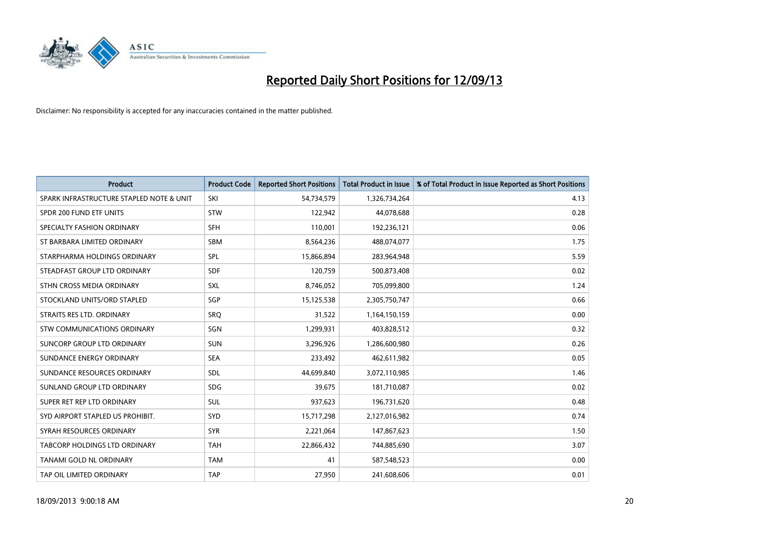

| <b>Product</b>                           | <b>Product Code</b> | <b>Reported Short Positions</b> | <b>Total Product in Issue</b> | % of Total Product in Issue Reported as Short Positions |
|------------------------------------------|---------------------|---------------------------------|-------------------------------|---------------------------------------------------------|
| SPARK INFRASTRUCTURE STAPLED NOTE & UNIT | SKI                 | 54,734,579                      | 1,326,734,264                 | 4.13                                                    |
| SPDR 200 FUND ETF UNITS                  | <b>STW</b>          | 122,942                         | 44,078,688                    | 0.28                                                    |
| SPECIALTY FASHION ORDINARY               | <b>SFH</b>          | 110,001                         | 192,236,121                   | 0.06                                                    |
| ST BARBARA LIMITED ORDINARY              | <b>SBM</b>          | 8,564,236                       | 488,074,077                   | 1.75                                                    |
| STARPHARMA HOLDINGS ORDINARY             | SPL                 | 15,866,894                      | 283,964,948                   | 5.59                                                    |
| STEADFAST GROUP LTD ORDINARY             | <b>SDF</b>          | 120,759                         | 500,873,408                   | 0.02                                                    |
| STHN CROSS MEDIA ORDINARY                | <b>SXL</b>          | 8,746,052                       | 705,099,800                   | 1.24                                                    |
| STOCKLAND UNITS/ORD STAPLED              | <b>SGP</b>          | 15,125,538                      | 2,305,750,747                 | 0.66                                                    |
| STRAITS RES LTD. ORDINARY                | SRO                 | 31,522                          | 1,164,150,159                 | 0.00                                                    |
| STW COMMUNICATIONS ORDINARY              | SGN                 | 1,299,931                       | 403,828,512                   | 0.32                                                    |
| SUNCORP GROUP LTD ORDINARY               | <b>SUN</b>          | 3,296,926                       | 1,286,600,980                 | 0.26                                                    |
| SUNDANCE ENERGY ORDINARY                 | <b>SEA</b>          | 233,492                         | 462,611,982                   | 0.05                                                    |
| SUNDANCE RESOURCES ORDINARY              | <b>SDL</b>          | 44,699,840                      | 3,072,110,985                 | 1.46                                                    |
| SUNLAND GROUP LTD ORDINARY               | <b>SDG</b>          | 39,675                          | 181,710,087                   | 0.02                                                    |
| SUPER RET REP LTD ORDINARY               | SUL                 | 937,623                         | 196,731,620                   | 0.48                                                    |
| SYD AIRPORT STAPLED US PROHIBIT.         | <b>SYD</b>          | 15,717,298                      | 2,127,016,982                 | 0.74                                                    |
| SYRAH RESOURCES ORDINARY                 | <b>SYR</b>          | 2,221,064                       | 147,867,623                   | 1.50                                                    |
| TABCORP HOLDINGS LTD ORDINARY            | <b>TAH</b>          | 22,866,432                      | 744,885,690                   | 3.07                                                    |
| TANAMI GOLD NL ORDINARY                  | <b>TAM</b>          | 41                              | 587,548,523                   | 0.00                                                    |
| TAP OIL LIMITED ORDINARY                 | <b>TAP</b>          | 27,950                          | 241,608,606                   | 0.01                                                    |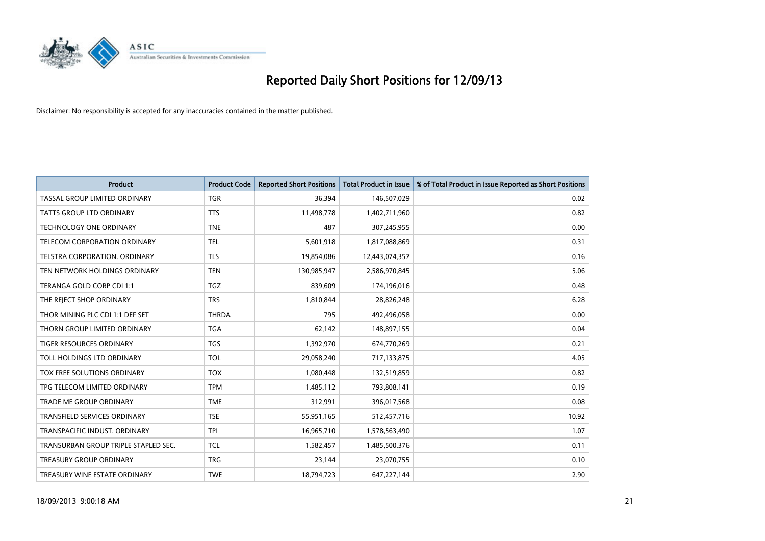

| <b>Product</b>                       | <b>Product Code</b> | <b>Reported Short Positions</b> | <b>Total Product in Issue</b> | % of Total Product in Issue Reported as Short Positions |
|--------------------------------------|---------------------|---------------------------------|-------------------------------|---------------------------------------------------------|
| TASSAL GROUP LIMITED ORDINARY        | <b>TGR</b>          | 36,394                          | 146,507,029                   | 0.02                                                    |
| TATTS GROUP LTD ORDINARY             | <b>TTS</b>          | 11,498,778                      | 1,402,711,960                 | 0.82                                                    |
| <b>TECHNOLOGY ONE ORDINARY</b>       | <b>TNE</b>          | 487                             | 307,245,955                   | 0.00                                                    |
| TELECOM CORPORATION ORDINARY         | <b>TEL</b>          | 5,601,918                       | 1,817,088,869                 | 0.31                                                    |
| TELSTRA CORPORATION, ORDINARY        | <b>TLS</b>          | 19,854,086                      | 12,443,074,357                | 0.16                                                    |
| TEN NETWORK HOLDINGS ORDINARY        | <b>TEN</b>          | 130,985,947                     | 2,586,970,845                 | 5.06                                                    |
| TERANGA GOLD CORP CDI 1:1            | <b>TGZ</b>          | 839,609                         | 174,196,016                   | 0.48                                                    |
| THE REJECT SHOP ORDINARY             | <b>TRS</b>          | 1,810,844                       | 28,826,248                    | 6.28                                                    |
| THOR MINING PLC CDI 1:1 DEF SET      | <b>THRDA</b>        | 795                             | 492,496,058                   | 0.00                                                    |
| THORN GROUP LIMITED ORDINARY         | <b>TGA</b>          | 62,142                          | 148,897,155                   | 0.04                                                    |
| TIGER RESOURCES ORDINARY             | <b>TGS</b>          | 1,392,970                       | 674,770,269                   | 0.21                                                    |
| TOLL HOLDINGS LTD ORDINARY           | <b>TOL</b>          | 29,058,240                      | 717,133,875                   | 4.05                                                    |
| TOX FREE SOLUTIONS ORDINARY          | <b>TOX</b>          | 1,080,448                       | 132,519,859                   | 0.82                                                    |
| TPG TELECOM LIMITED ORDINARY         | <b>TPM</b>          | 1,485,112                       | 793,808,141                   | 0.19                                                    |
| <b>TRADE ME GROUP ORDINARY</b>       | <b>TME</b>          | 312,991                         | 396,017,568                   | 0.08                                                    |
| <b>TRANSFIELD SERVICES ORDINARY</b>  | <b>TSE</b>          | 55,951,165                      | 512,457,716                   | 10.92                                                   |
| TRANSPACIFIC INDUST. ORDINARY        | <b>TPI</b>          | 16,965,710                      | 1,578,563,490                 | 1.07                                                    |
| TRANSURBAN GROUP TRIPLE STAPLED SEC. | <b>TCL</b>          | 1,582,457                       | 1,485,500,376                 | 0.11                                                    |
| <b>TREASURY GROUP ORDINARY</b>       | <b>TRG</b>          | 23,144                          | 23,070,755                    | 0.10                                                    |
| TREASURY WINE ESTATE ORDINARY        | <b>TWE</b>          | 18,794,723                      | 647,227,144                   | 2.90                                                    |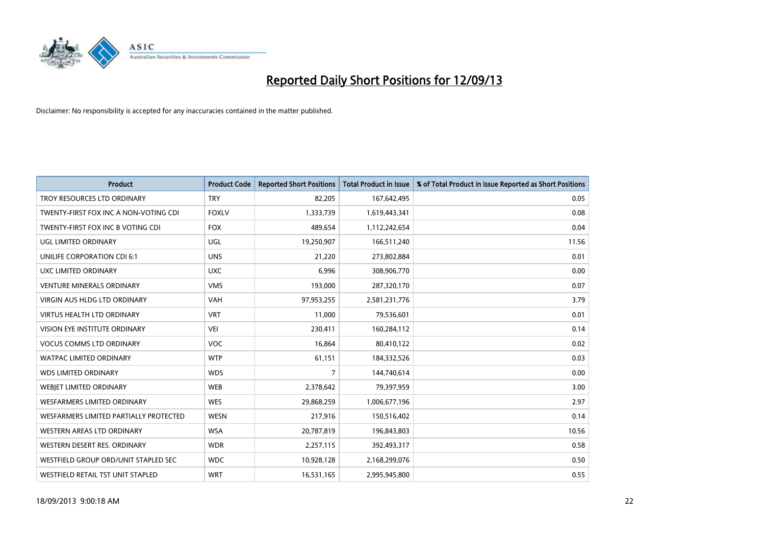

| <b>Product</b>                         | <b>Product Code</b> | <b>Reported Short Positions</b> | <b>Total Product in Issue</b> | % of Total Product in Issue Reported as Short Positions |
|----------------------------------------|---------------------|---------------------------------|-------------------------------|---------------------------------------------------------|
| TROY RESOURCES LTD ORDINARY            | <b>TRY</b>          | 82,205                          | 167,642,495                   | 0.05                                                    |
| TWENTY-FIRST FOX INC A NON-VOTING CDI  | <b>FOXLV</b>        | 1,333,739                       | 1,619,443,341                 | 0.08                                                    |
| TWENTY-FIRST FOX INC B VOTING CDI      | <b>FOX</b>          | 489,654                         | 1,112,242,654                 | 0.04                                                    |
| <b>UGL LIMITED ORDINARY</b>            | UGL                 | 19,250,907                      | 166,511,240                   | 11.56                                                   |
| UNILIFE CORPORATION CDI 6:1            | <b>UNS</b>          | 21,220                          | 273,802,884                   | 0.01                                                    |
| UXC LIMITED ORDINARY                   | <b>UXC</b>          | 6,996                           | 308,906,770                   | 0.00                                                    |
| <b>VENTURE MINERALS ORDINARY</b>       | <b>VMS</b>          | 193,000                         | 287,320,170                   | 0.07                                                    |
| <b>VIRGIN AUS HLDG LTD ORDINARY</b>    | <b>VAH</b>          | 97,953,255                      | 2,581,231,776                 | 3.79                                                    |
| <b>VIRTUS HEALTH LTD ORDINARY</b>      | <b>VRT</b>          | 11,000                          | 79,536,601                    | 0.01                                                    |
| VISION EYE INSTITUTE ORDINARY          | <b>VEI</b>          | 230,411                         | 160,284,112                   | 0.14                                                    |
| <b>VOCUS COMMS LTD ORDINARY</b>        | <b>VOC</b>          | 16,864                          | 80,410,122                    | 0.02                                                    |
| <b>WATPAC LIMITED ORDINARY</b>         | <b>WTP</b>          | 61,151                          | 184,332,526                   | 0.03                                                    |
| <b>WDS LIMITED ORDINARY</b>            | <b>WDS</b>          | 7                               | 144,740,614                   | 0.00                                                    |
| WEBIET LIMITED ORDINARY                | <b>WEB</b>          | 2,378,642                       | 79,397,959                    | 3.00                                                    |
| WESFARMERS LIMITED ORDINARY            | <b>WES</b>          | 29,868,259                      | 1,006,677,196                 | 2.97                                                    |
| WESFARMERS LIMITED PARTIALLY PROTECTED | <b>WESN</b>         | 217,916                         | 150,516,402                   | 0.14                                                    |
| WESTERN AREAS LTD ORDINARY             | <b>WSA</b>          | 20,787,819                      | 196,843,803                   | 10.56                                                   |
| WESTERN DESERT RES. ORDINARY           | <b>WDR</b>          | 2,257,115                       | 392,493,317                   | 0.58                                                    |
| WESTFIELD GROUP ORD/UNIT STAPLED SEC   | <b>WDC</b>          | 10,928,128                      | 2,168,299,076                 | 0.50                                                    |
| WESTFIELD RETAIL TST UNIT STAPLED      | <b>WRT</b>          | 16,531,165                      | 2,995,945,800                 | 0.55                                                    |